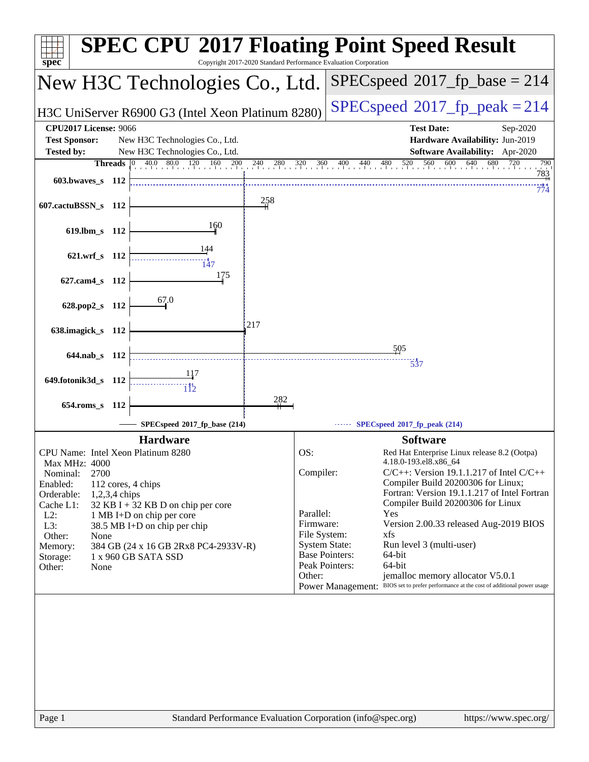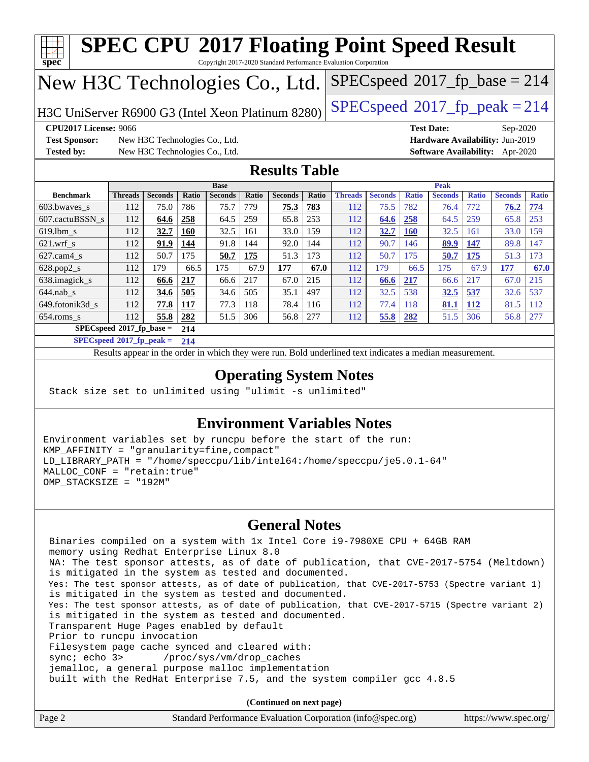| H3C UniServer R6900 G3 (Intel Xeon Platinum 8280)<br><b>CPU2017 License: 9066</b><br><b>Test Sponsor:</b>                                                                                                                                                                                                                     |                                                                | New H3C Technologies Co., Ltd. |                   |                |       |                      |       | $SPEC speed^{\circ}2017$ _fp_peak = 214                                                                         |                |              | <b>Test Date:</b><br>Hardware Availability: Jun-2019 |                   | Sep-2020       |              |
|-------------------------------------------------------------------------------------------------------------------------------------------------------------------------------------------------------------------------------------------------------------------------------------------------------------------------------|----------------------------------------------------------------|--------------------------------|-------------------|----------------|-------|----------------------|-------|-----------------------------------------------------------------------------------------------------------------|----------------|--------------|------------------------------------------------------|-------------------|----------------|--------------|
| <b>Tested by:</b>                                                                                                                                                                                                                                                                                                             |                                                                | New H3C Technologies Co., Ltd. |                   |                |       | <b>Results Table</b> |       |                                                                                                                 |                |              | <b>Software Availability:</b> Apr-2020               |                   |                |              |
|                                                                                                                                                                                                                                                                                                                               |                                                                |                                |                   | <b>Base</b>    |       |                      |       |                                                                                                                 |                |              | <b>Peak</b>                                          |                   |                |              |
| <b>Benchmark</b>                                                                                                                                                                                                                                                                                                              | Threads                                                        | <b>Seconds</b>                 | Ratio             | <b>Seconds</b> | Ratio | <b>Seconds</b>       | Ratio | <b>Threads</b>                                                                                                  | <b>Seconds</b> | <b>Ratio</b> | <b>Seconds</b>                                       | <b>Ratio</b>      | <b>Seconds</b> | <b>Ratio</b> |
| 603.bwaves_s                                                                                                                                                                                                                                                                                                                  | 112                                                            | 75.0                           | 786               | 75.7           | 779   | 75.3                 | 783   | 112                                                                                                             | 75.5           | 782          | 76.4                                                 | 772               | 76.2           | 774          |
| 607.cactuBSSN s                                                                                                                                                                                                                                                                                                               | 112                                                            | 64.6                           | 258               | 64.5           | 259   | 65.8                 | 253   | 112                                                                                                             | 64.6           | 258          | 64.5                                                 | 259               | 65.8           | 253          |
| $619.$ lbm_s                                                                                                                                                                                                                                                                                                                  | 112                                                            | 32.7                           | <b>160</b>        | 32.5           | 161   | 33.0                 | 159   | 112                                                                                                             | 32.7           | <b>160</b>   | 32.5                                                 | 161               | 33.0           | 159          |
| $621.wrf$ <sub>S</sub>                                                                                                                                                                                                                                                                                                        | 112                                                            | 91.9                           | 144               | 91.8           | 144   | 92.0                 | 144   | 112                                                                                                             | 90.7           | 146          | 89.9                                                 | 147               | 89.8           | 147          |
| $627.cam4_s$                                                                                                                                                                                                                                                                                                                  | 112                                                            | 50.7                           | 175               | <u>50.7</u>    | 175   | 51.3                 | 173   | 112                                                                                                             | 50.7           | 175          | 50.7                                                 | 175               | 51.3           | 173          |
| 628.pop2_s                                                                                                                                                                                                                                                                                                                    | 112                                                            | 179                            | 66.5              | 175            | 67.9  | 177                  | 67.0  | 112                                                                                                             | 179            | 66.5         | 175                                                  | 67.9              | 177            | 67.0         |
| 638.imagick_s                                                                                                                                                                                                                                                                                                                 | 112                                                            | 66.6                           | 217               | 66.6           | 217   | 67.0                 | 215   | 112                                                                                                             | 66.6           | 217          | 66.6                                                 | 217               | 67.0           | 215          |
| $644$ .nab_s                                                                                                                                                                                                                                                                                                                  | 112                                                            | 34.6                           | 505               | 34.6           | 505   | 35.1                 | 497   | 112                                                                                                             | 32.5           | 538          | 32.5                                                 | 537               | 32.6           | 537          |
| 649.fotonik3d_s                                                                                                                                                                                                                                                                                                               | 112                                                            | 77.8                           | <b>117</b>        | 77.3           | 118   | 78.4                 | 116   | 112                                                                                                             | 77.4           | 118<br>282   | 81.1<br>51.5                                         | <b>112</b><br>306 | 81.5           | 112          |
|                                                                                                                                                                                                                                                                                                                               |                                                                |                                |                   |                |       |                      |       |                                                                                                                 |                |              |                                                      |                   | 56.8           | 277          |
|                                                                                                                                                                                                                                                                                                                               | 112<br>SPECspeed®2017_fp_base =<br>$SPECspeed*2017_fp\_peak =$ | 55.8                           | 282<br>214<br>214 | 51.5           | 306   | 56.8                 | 277   | 112<br>Results appear in the order in which they were run. Bold underlined text indicates a median measurement. | 55.8           |              |                                                      |                   |                |              |
| $654$ .roms_s<br>Stack size set to unlimited using "ulimit -s unlimited"<br>Environment variables set by runcpu before the start of the run:<br>KMP_AFFINITY = "granularity=fine, compact"<br>LD_LIBRARY_PATH = "/home/speccpu/lib/intel64:/home/speccpu/je5.0.1-64"<br>MALLOC_CONF = "retain:true"<br>OMP_STACKSIZE = "192M" |                                                                |                                |                   |                |       |                      |       | <b>Operating System Notes</b><br><b>Environment Variables Notes</b>                                             |                |              |                                                      |                   |                |              |

jemalloc, a general purpose malloc implementation

built with the RedHat Enterprise 7.5, and the system compiler gcc 4.8.5

**(Continued on next page)**

| Page 2 | Standard Performance Evaluation Corporation (info@spec.org) | https://www.spec.org/ |
|--------|-------------------------------------------------------------|-----------------------|
|--------|-------------------------------------------------------------|-----------------------|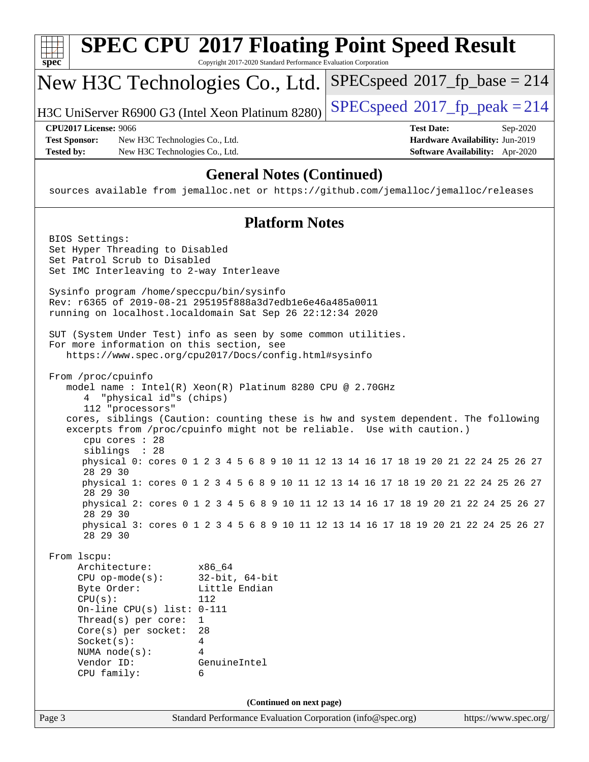|                   |                                                                                                                                                                                                                                | <b>SPEC CPU®2017 Floating Point Speed Result</b>                                                                                                                                                                             |                                          |                                                                                |
|-------------------|--------------------------------------------------------------------------------------------------------------------------------------------------------------------------------------------------------------------------------|------------------------------------------------------------------------------------------------------------------------------------------------------------------------------------------------------------------------------|------------------------------------------|--------------------------------------------------------------------------------|
| $spec^*$          |                                                                                                                                                                                                                                | Copyright 2017-2020 Standard Performance Evaluation Corporation                                                                                                                                                              |                                          |                                                                                |
|                   |                                                                                                                                                                                                                                | New H3C Technologies Co., Ltd.                                                                                                                                                                                               | $SPEC speed^{\circ}2017\_fp\_base = 214$ |                                                                                |
|                   |                                                                                                                                                                                                                                | H3C UniServer R6900 G3 (Intel Xeon Platinum 8280)                                                                                                                                                                            | $SPEC speed^{\circ}2017$ _fp_peak = 214  |                                                                                |
| <b>Tested by:</b> | <b>CPU2017 License: 9066</b><br><b>Test Sponsor:</b><br>New H3C Technologies Co., Ltd.<br>New H3C Technologies Co., Ltd.                                                                                                       |                                                                                                                                                                                                                              | <b>Test Date:</b>                        | Sep-2020<br>Hardware Availability: Jun-2019<br>Software Availability: Apr-2020 |
|                   |                                                                                                                                                                                                                                | <b>General Notes (Continued)</b><br>sources available from jemalloc.net or https://github.com/jemalloc/jemalloc/releases                                                                                                     |                                          |                                                                                |
|                   |                                                                                                                                                                                                                                | <b>Platform Notes</b>                                                                                                                                                                                                        |                                          |                                                                                |
|                   | BIOS Settings:<br>Set Hyper Threading to Disabled<br>Set Patrol Scrub to Disabled<br>Set IMC Interleaving to 2-way Interleave                                                                                                  |                                                                                                                                                                                                                              |                                          |                                                                                |
|                   | Sysinfo program /home/speccpu/bin/sysinfo                                                                                                                                                                                      | Rev: r6365 of 2019-08-21 295195f888a3d7edble6e46a485a0011<br>running on localhost.localdomain Sat Sep 26 22:12:34 2020                                                                                                       |                                          |                                                                                |
|                   | For more information on this section, see                                                                                                                                                                                      | SUT (System Under Test) info as seen by some common utilities.<br>https://www.spec.org/cpu2017/Docs/config.html#sysinfo                                                                                                      |                                          |                                                                                |
|                   | From /proc/cpuinfo<br>"physical id"s (chips)<br>4<br>112 "processors"<br>cpu cores : 28                                                                                                                                        | model name: $Intel(R)$ Xeon $(R)$ Platinum 8280 CPU @ 2.70GHz<br>cores, siblings (Caution: counting these is hw and system dependent. The following<br>excerpts from /proc/cpuinfo might not be reliable. Use with caution.) |                                          |                                                                                |
|                   | siblings : 28<br>28 29 30                                                                                                                                                                                                      | physical 0: cores 0 1 2 3 4 5 6 8 9 10 11 12 13 14 16 17 18 19 20 21 22 24 25 26 27                                                                                                                                          |                                          |                                                                                |
|                   | 28 29 30                                                                                                                                                                                                                       | physical 1: cores 0 1 2 3 4 5 6 8 9 10 11 12 13 14 16 17 18 19 20 21 22 24 25 26 27                                                                                                                                          |                                          |                                                                                |
|                   | 28 29 30<br>28 29 30                                                                                                                                                                                                           | physical 2: cores 0 1 2 3 4 5 6 8 9 10 11 12 13 14 16 17 18 19 20 21 22 24 25 26 27<br>physical 3: cores 0 1 2 3 4 5 6 8 9 10 11 12 13 14 16 17 18 19 20 21 22 24 25 26 27                                                   |                                          |                                                                                |
|                   | From 1scpu:<br>Architecture:<br>$CPU$ op-mode( $s$ ):<br>Byte Order:<br>CPU(s):<br>On-line CPU(s) list: $0-111$<br>Thread(s) per core:<br>$Core(s)$ per socket:<br>Socket(s):<br>NUMA $node(s)$ :<br>Vendor ID:<br>CPU family: | x86_64<br>$32$ -bit, $64$ -bit<br>Little Endian<br>112<br>$\mathbf{1}$<br>28<br>4<br>4<br>GenuineIntel<br>6                                                                                                                  |                                          |                                                                                |
|                   |                                                                                                                                                                                                                                | (Continued on next page)                                                                                                                                                                                                     |                                          |                                                                                |
| Page 3            |                                                                                                                                                                                                                                | Standard Performance Evaluation Corporation (info@spec.org)                                                                                                                                                                  |                                          | https://www.spec.org/                                                          |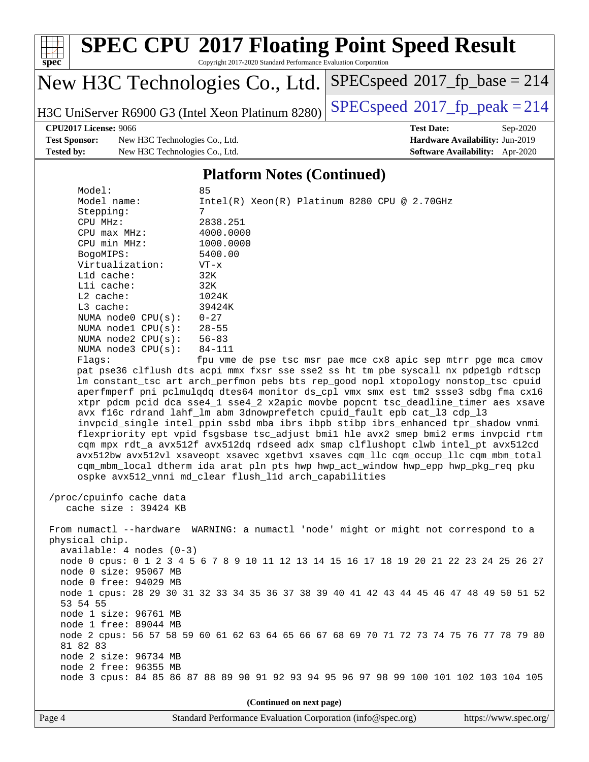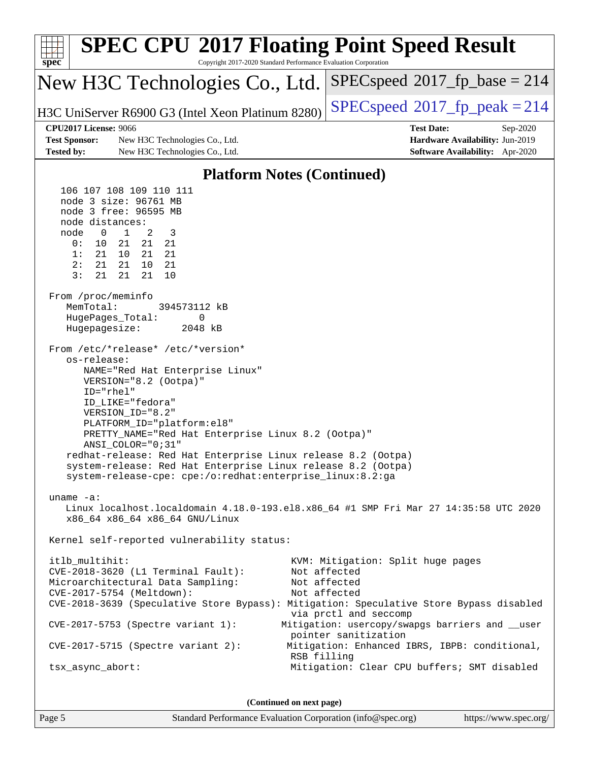| <b>SPEC CPU®2017 Floating Point Speed Result</b><br>$spec*$<br>Copyright 2017-2020 Standard Performance Evaluation Corporation                                                                                                                                                                                                                                                                                                                                                                                                                                                                                                                                                                                                                                                                                                                                                                                                                                                                                                                                                                                                                                                                                                                                                                                                                           |                                                                                                                                                                                                                                                       |
|----------------------------------------------------------------------------------------------------------------------------------------------------------------------------------------------------------------------------------------------------------------------------------------------------------------------------------------------------------------------------------------------------------------------------------------------------------------------------------------------------------------------------------------------------------------------------------------------------------------------------------------------------------------------------------------------------------------------------------------------------------------------------------------------------------------------------------------------------------------------------------------------------------------------------------------------------------------------------------------------------------------------------------------------------------------------------------------------------------------------------------------------------------------------------------------------------------------------------------------------------------------------------------------------------------------------------------------------------------|-------------------------------------------------------------------------------------------------------------------------------------------------------------------------------------------------------------------------------------------------------|
| New H3C Technologies Co., Ltd.                                                                                                                                                                                                                                                                                                                                                                                                                                                                                                                                                                                                                                                                                                                                                                                                                                                                                                                                                                                                                                                                                                                                                                                                                                                                                                                           | $SPEC speed^{\circ}2017$ fp base = 214                                                                                                                                                                                                                |
| H3C UniServer R6900 G3 (Intel Xeon Platinum 8280)                                                                                                                                                                                                                                                                                                                                                                                                                                                                                                                                                                                                                                                                                                                                                                                                                                                                                                                                                                                                                                                                                                                                                                                                                                                                                                        | $SPEC speed^{\circ}2017$ fp peak = 214                                                                                                                                                                                                                |
| <b>CPU2017 License: 9066</b>                                                                                                                                                                                                                                                                                                                                                                                                                                                                                                                                                                                                                                                                                                                                                                                                                                                                                                                                                                                                                                                                                                                                                                                                                                                                                                                             | <b>Test Date:</b><br>Sep-2020                                                                                                                                                                                                                         |
| <b>Test Sponsor:</b><br>New H3C Technologies Co., Ltd.<br><b>Tested by:</b><br>New H3C Technologies Co., Ltd.                                                                                                                                                                                                                                                                                                                                                                                                                                                                                                                                                                                                                                                                                                                                                                                                                                                                                                                                                                                                                                                                                                                                                                                                                                            | Hardware Availability: Jun-2019<br><b>Software Availability:</b> Apr-2020                                                                                                                                                                             |
| <b>Platform Notes (Continued)</b>                                                                                                                                                                                                                                                                                                                                                                                                                                                                                                                                                                                                                                                                                                                                                                                                                                                                                                                                                                                                                                                                                                                                                                                                                                                                                                                        |                                                                                                                                                                                                                                                       |
| 106 107 108 109 110 111<br>node 3 size: 96761 MB<br>node 3 free: 96595 MB<br>node distances:<br>$\overline{0}$<br>$\mathbf{1}$<br>2<br>node<br>3<br>0:<br>10<br>21<br>21<br>21<br>21<br>1:<br>21<br>21<br>10<br>2:<br>21<br>21<br>10<br>21<br>3:<br>21<br>21<br>21<br>10<br>From /proc/meminfo<br>MemTotal:<br>394573112 kB<br>HugePages_Total:<br>0<br>Hugepagesize:<br>2048 kB<br>From /etc/*release* /etc/*version*<br>os-release:<br>NAME="Red Hat Enterprise Linux"<br>VERSION="8.2 (Ootpa)"<br>ID="rhel"<br>ID_LIKE="fedora"<br>VERSION_ID="8.2"<br>PLATFORM_ID="platform:el8"<br>PRETTY_NAME="Red Hat Enterprise Linux 8.2 (Ootpa)"<br>ANSI_COLOR="0;31"<br>redhat-release: Red Hat Enterprise Linux release 8.2 (Ootpa)<br>system-release: Red Hat Enterprise Linux release 8.2 (Ootpa)<br>system-release-cpe: cpe:/o:redhat:enterprise_linux:8.2:ga<br>uname $-a$ :<br>Linux localhost.localdomain 4.18.0-193.el8.x86_64 #1 SMP Fri Mar 27 14:35:58 UTC 2020<br>x86_64 x86_64 x86_64 GNU/Linux<br>Kernel self-reported vulnerability status:<br>itlb_multihit:<br>CVE-2018-3620 (L1 Terminal Fault):<br>Microarchitectural Data Sampling:<br>CVE-2017-5754 (Meltdown):<br>CVE-2018-3639 (Speculative Store Bypass): Mitigation: Speculative Store Bypass disabled<br>CVE-2017-5753 (Spectre variant 1):<br>$CVE-2017-5715$ (Spectre variant 2): | KVM: Mitigation: Split huge pages<br>Not affected<br>Not affected<br>Not affected<br>via prctl and seccomp<br>Mitigation: usercopy/swapgs barriers and __user<br>pointer sanitization<br>Mitigation: Enhanced IBRS, IBPB: conditional,<br>RSB filling |
| tsx_async_abort:                                                                                                                                                                                                                                                                                                                                                                                                                                                                                                                                                                                                                                                                                                                                                                                                                                                                                                                                                                                                                                                                                                                                                                                                                                                                                                                                         | Mitigation: Clear CPU buffers; SMT disabled                                                                                                                                                                                                           |
| (Continued on next page)                                                                                                                                                                                                                                                                                                                                                                                                                                                                                                                                                                                                                                                                                                                                                                                                                                                                                                                                                                                                                                                                                                                                                                                                                                                                                                                                 |                                                                                                                                                                                                                                                       |

Page 5 Standard Performance Evaluation Corporation [\(info@spec.org\)](mailto:info@spec.org) <https://www.spec.org/>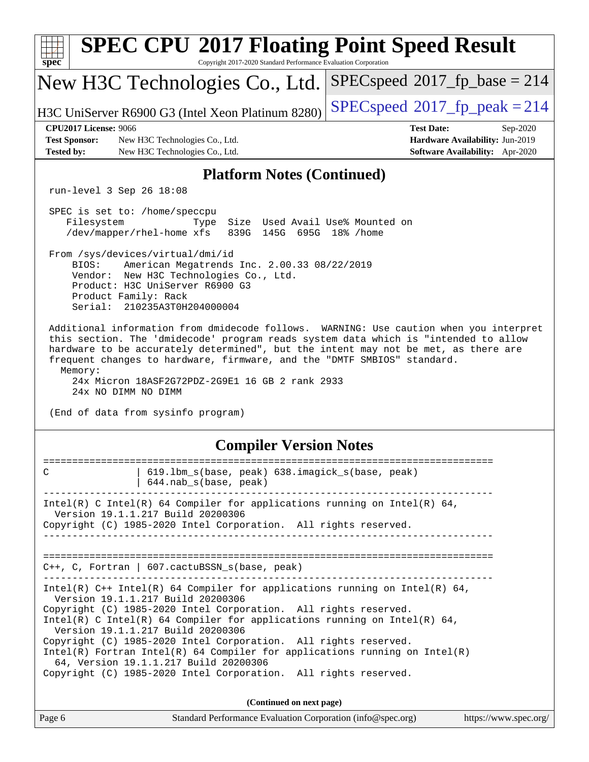| spec <sup>®</sup>                                                         | <b>SPEC CPU®2017 Floating Point Speed Result</b><br>Copyright 2017-2020 Standard Performance Evaluation Corporation                                                                                                                                                                                                                                                                                                                                                                                                                                                  |                                                                                                     |
|---------------------------------------------------------------------------|----------------------------------------------------------------------------------------------------------------------------------------------------------------------------------------------------------------------------------------------------------------------------------------------------------------------------------------------------------------------------------------------------------------------------------------------------------------------------------------------------------------------------------------------------------------------|-----------------------------------------------------------------------------------------------------|
|                                                                           | New H3C Technologies Co., Ltd.                                                                                                                                                                                                                                                                                                                                                                                                                                                                                                                                       | $SPEC speed^{\circ}2017$ fp base = 214                                                              |
|                                                                           | H3C UniServer R6900 G3 (Intel Xeon Platinum 8280)                                                                                                                                                                                                                                                                                                                                                                                                                                                                                                                    | $SPEC speed^{\circ}2017$ fp peak = 214                                                              |
| <b>CPU2017 License: 9066</b><br><b>Test Sponsor:</b><br><b>Tested by:</b> | New H3C Technologies Co., Ltd.<br>New H3C Technologies Co., Ltd.                                                                                                                                                                                                                                                                                                                                                                                                                                                                                                     | <b>Test Date:</b><br>Sep-2020<br>Hardware Availability: Jun-2019<br>Software Availability: Apr-2020 |
|                                                                           | <b>Platform Notes (Continued)</b>                                                                                                                                                                                                                                                                                                                                                                                                                                                                                                                                    |                                                                                                     |
|                                                                           | run-level 3 Sep 26 18:08                                                                                                                                                                                                                                                                                                                                                                                                                                                                                                                                             |                                                                                                     |
| Filesystem                                                                | SPEC is set to: /home/speccpu<br>Size Used Avail Use% Mounted on<br>Type<br>/dev/mapper/rhel-home xfs<br>839G 145G 695G 18% / home                                                                                                                                                                                                                                                                                                                                                                                                                                   |                                                                                                     |
| BIOS:                                                                     | From /sys/devices/virtual/dmi/id<br>American Megatrends Inc. 2.00.33 08/22/2019<br>Vendor: New H3C Technologies Co., Ltd.<br>Product: H3C UniServer R6900 G3<br>Product Family: Rack<br>Serial: 210235A3T0H204000004                                                                                                                                                                                                                                                                                                                                                 |                                                                                                     |
| Memory:                                                                   | this section. The 'dmidecode' program reads system data which is "intended to allow<br>hardware to be accurately determined", but the intent may not be met, as there are<br>frequent changes to hardware, firmware, and the "DMTF SMBIOS" standard.<br>24x Micron 18ASF2G72PDZ-2G9E1 16 GB 2 rank 2933<br>24x NO DIMM NO DIMM<br>(End of data from sysinfo program)                                                                                                                                                                                                 | Additional information from dmidecode follows. WARNING: Use caution when you interpret              |
|                                                                           |                                                                                                                                                                                                                                                                                                                                                                                                                                                                                                                                                                      |                                                                                                     |
| =======                                                                   | <b>Compiler Version Notes</b>                                                                                                                                                                                                                                                                                                                                                                                                                                                                                                                                        | ===========                                                                                         |
| C                                                                         | 619.1bm_s(base, peak) 638.imagick_s(base, peak)<br>644.nab s(base, peak)                                                                                                                                                                                                                                                                                                                                                                                                                                                                                             |                                                                                                     |
|                                                                           | $Intel(R)$ C Intel(R) 64 Compiler for applications running on Intel(R) 64,<br>Version 19.1.1.217 Build 20200306<br>Copyright (C) 1985-2020 Intel Corporation. All rights reserved.                                                                                                                                                                                                                                                                                                                                                                                   |                                                                                                     |
|                                                                           | $C++$ , C, Fortran   607.cactuBSSN_s(base, peak)                                                                                                                                                                                                                                                                                                                                                                                                                                                                                                                     |                                                                                                     |
|                                                                           | Intel(R) $C++$ Intel(R) 64 Compiler for applications running on Intel(R) 64,<br>Version 19.1.1.217 Build 20200306<br>Copyright (C) 1985-2020 Intel Corporation. All rights reserved.<br>Intel(R) C Intel(R) 64 Compiler for applications running on Intel(R) 64,<br>Version 19.1.1.217 Build 20200306<br>Copyright (C) 1985-2020 Intel Corporation. All rights reserved.<br>$Intel(R)$ Fortran Intel(R) 64 Compiler for applications running on Intel(R)<br>64, Version 19.1.1.217 Build 20200306<br>Copyright (C) 1985-2020 Intel Corporation. All rights reserved. |                                                                                                     |
|                                                                           | (Continued on next page)                                                                                                                                                                                                                                                                                                                                                                                                                                                                                                                                             |                                                                                                     |
| Page 6                                                                    | Standard Performance Evaluation Corporation (info@spec.org)                                                                                                                                                                                                                                                                                                                                                                                                                                                                                                          | https://www.spec.org/                                                                               |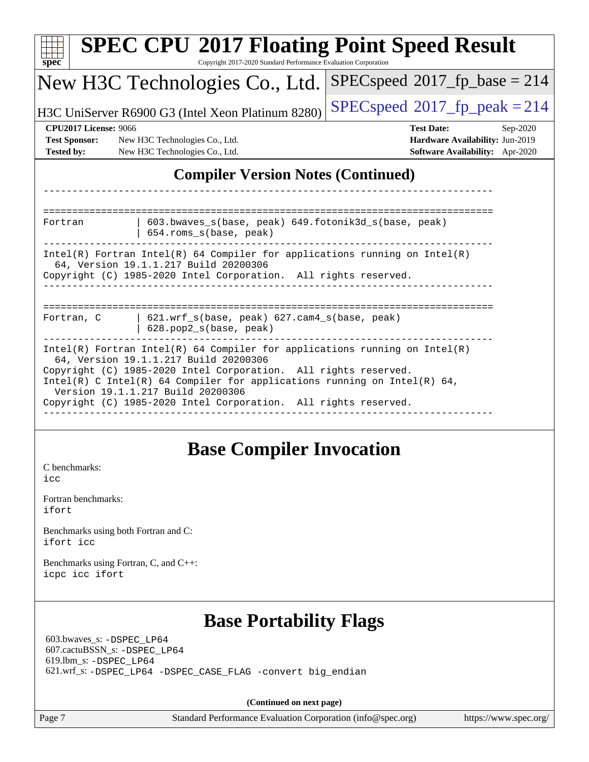| $spec^*$                                             | <b>SPEC CPU®2017 Floating Point Speed Result</b><br>Copyright 2017-2020 Standard Performance Evaluation Corporation                                                                                                                                                                                                                                                          |                                         |
|------------------------------------------------------|------------------------------------------------------------------------------------------------------------------------------------------------------------------------------------------------------------------------------------------------------------------------------------------------------------------------------------------------------------------------------|-----------------------------------------|
|                                                      | New H3C Technologies Co., Ltd.                                                                                                                                                                                                                                                                                                                                               | $SPEC speed^{\circ}2017$ _fp_base = 214 |
|                                                      | H3C UniServer R6900 G3 (Intel Xeon Platinum 8280)                                                                                                                                                                                                                                                                                                                            | $SPEC speed^{\circ}2017$ _fp_peak = 214 |
| <b>CPU2017 License: 9066</b>                         |                                                                                                                                                                                                                                                                                                                                                                              | <b>Test Date:</b><br>Sep-2020           |
| <b>Test Sponsor:</b>                                 | New H3C Technologies Co., Ltd.                                                                                                                                                                                                                                                                                                                                               | Hardware Availability: Jun-2019         |
| <b>Tested by:</b>                                    | New H3C Technologies Co., Ltd.                                                                                                                                                                                                                                                                                                                                               | Software Availability: Apr-2020         |
|                                                      | <b>Compiler Version Notes (Continued)</b>                                                                                                                                                                                                                                                                                                                                    |                                         |
|                                                      |                                                                                                                                                                                                                                                                                                                                                                              |                                         |
| Fortran                                              | 603.bwaves_s(base, peak) 649.fotonik3d_s(base, peak)<br>654.roms_s(base, peak)                                                                                                                                                                                                                                                                                               |                                         |
|                                                      | Intel(R) Fortran Intel(R) 64 Compiler for applications running on Intel(R)<br>64, Version 19.1.1.217 Build 20200306<br>Copyright (C) 1985-2020 Intel Corporation. All rights reserved.                                                                                                                                                                                       |                                         |
| Fortran, C                                           | 621.wrf_s(base, peak) 627.cam4_s(base, peak)<br>628.pop2_s(base, peak)                                                                                                                                                                                                                                                                                                       |                                         |
|                                                      | $Intel(R)$ Fortran Intel(R) 64 Compiler for applications running on Intel(R)<br>64, Version 19.1.1.217 Build 20200306<br>Copyright (C) 1985-2020 Intel Corporation. All rights reserved.<br>Intel(R) C Intel(R) 64 Compiler for applications running on Intel(R) 64,<br>Version 19.1.1.217 Build 20200306<br>Copyright (C) 1985-2020 Intel Corporation. All rights reserved. |                                         |
| C benchmarks:<br>icc<br>Fortran benchmarks:<br>ifort | <b>Base Compiler Invocation</b>                                                                                                                                                                                                                                                                                                                                              |                                         |
| ifort icc                                            | Benchmarks using both Fortran and C:                                                                                                                                                                                                                                                                                                                                         |                                         |
| icpc icc ifort                                       | Benchmarks using Fortran, C, and C++:                                                                                                                                                                                                                                                                                                                                        |                                         |
| 619.lbm_s: -DSPEC LP64                               | <b>Base Portability Flags</b><br>603.bwaves_s: -DSPEC_LP64<br>607.cactuBSSN_s: -DSPEC_LP64<br>621.wrf_s: -DSPEC_LP64 -DSPEC_CASE_FLAG -convert big_endian                                                                                                                                                                                                                    |                                         |
|                                                      | (Continued on next page)                                                                                                                                                                                                                                                                                                                                                     |                                         |
| Page 7                                               | Standard Performance Evaluation Corporation (info@spec.org)                                                                                                                                                                                                                                                                                                                  | https://www.spec.org/                   |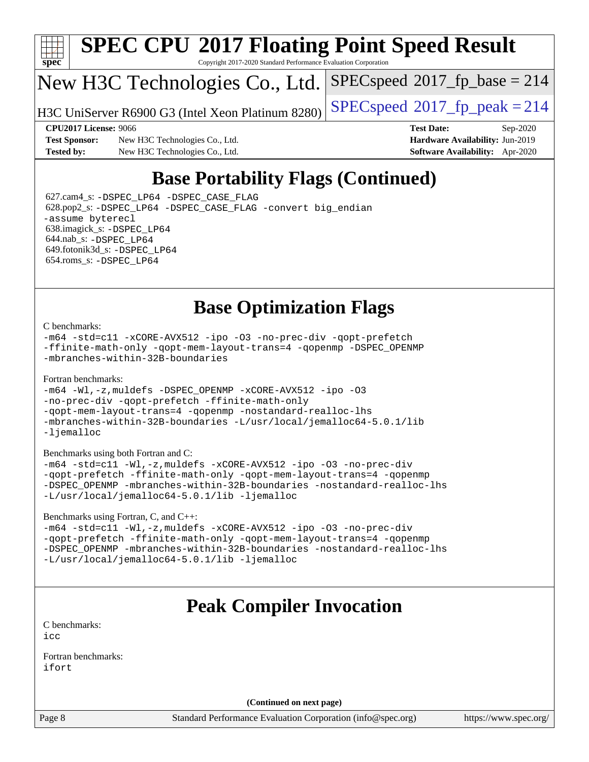

# **[SPEC CPU](http://www.spec.org/auto/cpu2017/Docs/result-fields.html#SPECCPU2017FloatingPointSpeedResult)[2017 Floating Point Speed Result](http://www.spec.org/auto/cpu2017/Docs/result-fields.html#SPECCPU2017FloatingPointSpeedResult)**

Copyright 2017-2020 Standard Performance Evaluation Corporation

### New H3C Technologies Co., Ltd.

H3C UniServer R6900 G3 (Intel Xeon Platinum  $8280$ ) [SPECspeed](http://www.spec.org/auto/cpu2017/Docs/result-fields.html#SPECspeed2017fppeak)<sup>®</sup>[2017\\_fp\\_peak = 2](http://www.spec.org/auto/cpu2017/Docs/result-fields.html#SPECspeed2017fppeak)14

[SPECspeed](http://www.spec.org/auto/cpu2017/Docs/result-fields.html#SPECspeed2017fpbase)<sup>®</sup>2017 fp base = 214

**[Test Sponsor:](http://www.spec.org/auto/cpu2017/Docs/result-fields.html#TestSponsor)** New H3C Technologies Co., Ltd. **[Hardware Availability:](http://www.spec.org/auto/cpu2017/Docs/result-fields.html#HardwareAvailability)** Jun-2019 **[Tested by:](http://www.spec.org/auto/cpu2017/Docs/result-fields.html#Testedby)** New H3C Technologies Co., Ltd. **[Software Availability:](http://www.spec.org/auto/cpu2017/Docs/result-fields.html#SoftwareAvailability)** Apr-2020

**[CPU2017 License:](http://www.spec.org/auto/cpu2017/Docs/result-fields.html#CPU2017License)** 9066 **[Test Date:](http://www.spec.org/auto/cpu2017/Docs/result-fields.html#TestDate)** Sep-2020

### **[Base Portability Flags \(Continued\)](http://www.spec.org/auto/cpu2017/Docs/result-fields.html#BasePortabilityFlags)**

 627.cam4\_s: [-DSPEC\\_LP64](http://www.spec.org/cpu2017/results/res2020q4/cpu2017-20201014-24203.flags.html#suite_basePORTABILITY627_cam4_s_DSPEC_LP64) [-DSPEC\\_CASE\\_FLAG](http://www.spec.org/cpu2017/results/res2020q4/cpu2017-20201014-24203.flags.html#b627.cam4_s_baseCPORTABILITY_DSPEC_CASE_FLAG) 628.pop2\_s: [-DSPEC\\_LP64](http://www.spec.org/cpu2017/results/res2020q4/cpu2017-20201014-24203.flags.html#suite_basePORTABILITY628_pop2_s_DSPEC_LP64) [-DSPEC\\_CASE\\_FLAG](http://www.spec.org/cpu2017/results/res2020q4/cpu2017-20201014-24203.flags.html#b628.pop2_s_baseCPORTABILITY_DSPEC_CASE_FLAG) [-convert big\\_endian](http://www.spec.org/cpu2017/results/res2020q4/cpu2017-20201014-24203.flags.html#user_baseFPORTABILITY628_pop2_s_convert_big_endian_c3194028bc08c63ac5d04de18c48ce6d347e4e562e8892b8bdbdc0214820426deb8554edfa529a3fb25a586e65a3d812c835984020483e7e73212c4d31a38223) [-assume byterecl](http://www.spec.org/cpu2017/results/res2020q4/cpu2017-20201014-24203.flags.html#user_baseFPORTABILITY628_pop2_s_assume_byterecl_7e47d18b9513cf18525430bbf0f2177aa9bf368bc7a059c09b2c06a34b53bd3447c950d3f8d6c70e3faf3a05c8557d66a5798b567902e8849adc142926523472) 638.imagick\_s: [-DSPEC\\_LP64](http://www.spec.org/cpu2017/results/res2020q4/cpu2017-20201014-24203.flags.html#suite_basePORTABILITY638_imagick_s_DSPEC_LP64) 644.nab\_s: [-DSPEC\\_LP64](http://www.spec.org/cpu2017/results/res2020q4/cpu2017-20201014-24203.flags.html#suite_basePORTABILITY644_nab_s_DSPEC_LP64) 649.fotonik3d\_s: [-DSPEC\\_LP64](http://www.spec.org/cpu2017/results/res2020q4/cpu2017-20201014-24203.flags.html#suite_basePORTABILITY649_fotonik3d_s_DSPEC_LP64) 654.roms\_s: [-DSPEC\\_LP64](http://www.spec.org/cpu2017/results/res2020q4/cpu2017-20201014-24203.flags.html#suite_basePORTABILITY654_roms_s_DSPEC_LP64)

#### **[Base Optimization Flags](http://www.spec.org/auto/cpu2017/Docs/result-fields.html#BaseOptimizationFlags)**

#### [C benchmarks](http://www.spec.org/auto/cpu2017/Docs/result-fields.html#Cbenchmarks):

[-m64](http://www.spec.org/cpu2017/results/res2020q4/cpu2017-20201014-24203.flags.html#user_CCbase_m64-icc) [-std=c11](http://www.spec.org/cpu2017/results/res2020q4/cpu2017-20201014-24203.flags.html#user_CCbase_std-icc-std_0e1c27790398a4642dfca32ffe6c27b5796f9c2d2676156f2e42c9c44eaad0c049b1cdb667a270c34d979996257aeb8fc440bfb01818dbc9357bd9d174cb8524) [-xCORE-AVX512](http://www.spec.org/cpu2017/results/res2020q4/cpu2017-20201014-24203.flags.html#user_CCbase_f-xCORE-AVX512) [-ipo](http://www.spec.org/cpu2017/results/res2020q4/cpu2017-20201014-24203.flags.html#user_CCbase_f-ipo) [-O3](http://www.spec.org/cpu2017/results/res2020q4/cpu2017-20201014-24203.flags.html#user_CCbase_f-O3) [-no-prec-div](http://www.spec.org/cpu2017/results/res2020q4/cpu2017-20201014-24203.flags.html#user_CCbase_f-no-prec-div) [-qopt-prefetch](http://www.spec.org/cpu2017/results/res2020q4/cpu2017-20201014-24203.flags.html#user_CCbase_f-qopt-prefetch) [-ffinite-math-only](http://www.spec.org/cpu2017/results/res2020q4/cpu2017-20201014-24203.flags.html#user_CCbase_f_finite_math_only_cb91587bd2077682c4b38af759c288ed7c732db004271a9512da14a4f8007909a5f1427ecbf1a0fb78ff2a814402c6114ac565ca162485bbcae155b5e4258871) [-qopt-mem-layout-trans=4](http://www.spec.org/cpu2017/results/res2020q4/cpu2017-20201014-24203.flags.html#user_CCbase_f-qopt-mem-layout-trans_fa39e755916c150a61361b7846f310bcdf6f04e385ef281cadf3647acec3f0ae266d1a1d22d972a7087a248fd4e6ca390a3634700869573d231a252c784941a8) [-qopenmp](http://www.spec.org/cpu2017/results/res2020q4/cpu2017-20201014-24203.flags.html#user_CCbase_qopenmp_16be0c44f24f464004c6784a7acb94aca937f053568ce72f94b139a11c7c168634a55f6653758ddd83bcf7b8463e8028bb0b48b77bcddc6b78d5d95bb1df2967) [-DSPEC\\_OPENMP](http://www.spec.org/cpu2017/results/res2020q4/cpu2017-20201014-24203.flags.html#suite_CCbase_DSPEC_OPENMP) [-mbranches-within-32B-boundaries](http://www.spec.org/cpu2017/results/res2020q4/cpu2017-20201014-24203.flags.html#user_CCbase_f-mbranches-within-32B-boundaries)

#### [Fortran benchmarks](http://www.spec.org/auto/cpu2017/Docs/result-fields.html#Fortranbenchmarks):

```
-m64 -Wl,-z,muldefs -DSPEC_OPENMP -xCORE-AVX512 -ipo -O3
-no-prec-div -qopt-prefetch -ffinite-math-only
-qopt-mem-layout-trans=4 -qopenmp -nostandard-realloc-lhs
-mbranches-within-32B-boundaries -L/usr/local/jemalloc64-5.0.1/lib
-ljemalloc
```
[Benchmarks using both Fortran and C](http://www.spec.org/auto/cpu2017/Docs/result-fields.html#BenchmarksusingbothFortranandC):

```
-m64 -std=c11 -Wl,-z,muldefs -xCORE-AVX512 -ipo -O3 -no-prec-div
-qopt-prefetch -ffinite-math-only -qopt-mem-layout-trans=4 -qopenmp
-DSPEC_OPENMP -mbranches-within-32B-boundaries -nostandard-realloc-lhs
-L/usr/local/jemalloc64-5.0.1/lib -ljemalloc
```
[Benchmarks using Fortran, C, and C++:](http://www.spec.org/auto/cpu2017/Docs/result-fields.html#BenchmarksusingFortranCandCXX)

```
-m64 -std=c11 -Wl,-z,muldefs -xCORE-AVX512 -ipo -O3 -no-prec-div
-qopt-prefetch -ffinite-math-only -qopt-mem-layout-trans=4 -qopenmp
-DSPEC_OPENMP -mbranches-within-32B-boundaries -nostandard-realloc-lhs
-L/usr/local/jemalloc64-5.0.1/lib -ljemalloc
```
### **[Peak Compiler Invocation](http://www.spec.org/auto/cpu2017/Docs/result-fields.html#PeakCompilerInvocation)**

[C benchmarks](http://www.spec.org/auto/cpu2017/Docs/result-fields.html#Cbenchmarks): [icc](http://www.spec.org/cpu2017/results/res2020q4/cpu2017-20201014-24203.flags.html#user_CCpeak_intel_icc_66fc1ee009f7361af1fbd72ca7dcefbb700085f36577c54f309893dd4ec40d12360134090235512931783d35fd58c0460139e722d5067c5574d8eaf2b3e37e92)

[Fortran benchmarks](http://www.spec.org/auto/cpu2017/Docs/result-fields.html#Fortranbenchmarks): [ifort](http://www.spec.org/cpu2017/results/res2020q4/cpu2017-20201014-24203.flags.html#user_FCpeak_intel_ifort_8111460550e3ca792625aed983ce982f94888b8b503583aa7ba2b8303487b4d8a21a13e7191a45c5fd58ff318f48f9492884d4413fa793fd88dd292cad7027ca)

**(Continued on next page)**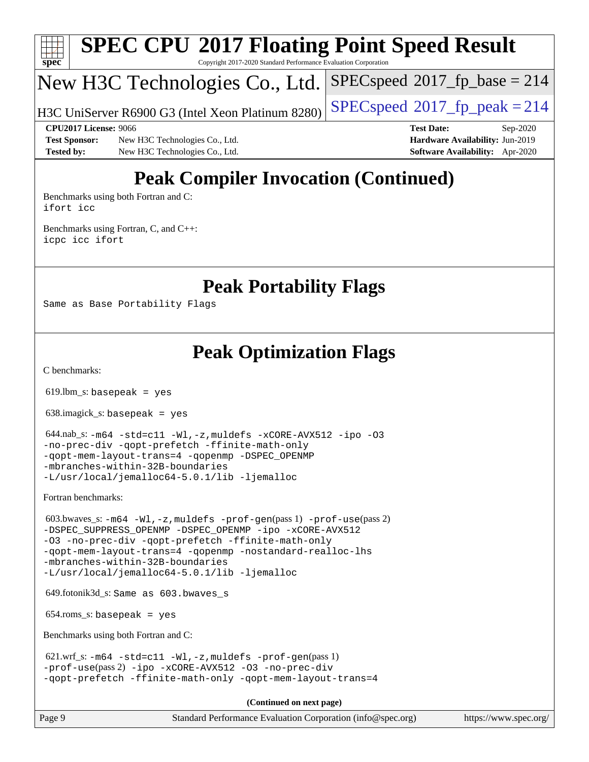

# **[SPEC CPU](http://www.spec.org/auto/cpu2017/Docs/result-fields.html#SPECCPU2017FloatingPointSpeedResult)[2017 Floating Point Speed Result](http://www.spec.org/auto/cpu2017/Docs/result-fields.html#SPECCPU2017FloatingPointSpeedResult)**

Copyright 2017-2020 Standard Performance Evaluation Corporation

### New H3C Technologies Co., Ltd.

[SPECspeed](http://www.spec.org/auto/cpu2017/Docs/result-fields.html#SPECspeed2017fpbase)<sup>®</sup>2017 fp base = 214

#### H3C UniServer R6900 G3 (Intel Xeon Platinum  $8280$ ) [SPECspeed](http://www.spec.org/auto/cpu2017/Docs/result-fields.html#SPECspeed2017fppeak)<sup>®</sup>[2017\\_fp\\_peak = 2](http://www.spec.org/auto/cpu2017/Docs/result-fields.html#SPECspeed2017fppeak)14

**[Test Sponsor:](http://www.spec.org/auto/cpu2017/Docs/result-fields.html#TestSponsor)** New H3C Technologies Co., Ltd. **[Hardware Availability:](http://www.spec.org/auto/cpu2017/Docs/result-fields.html#HardwareAvailability)** Jun-2019 **[Tested by:](http://www.spec.org/auto/cpu2017/Docs/result-fields.html#Testedby)** New H3C Technologies Co., Ltd. **[Software Availability:](http://www.spec.org/auto/cpu2017/Docs/result-fields.html#SoftwareAvailability)** Apr-2020

**[CPU2017 License:](http://www.spec.org/auto/cpu2017/Docs/result-fields.html#CPU2017License)** 9066 **[Test Date:](http://www.spec.org/auto/cpu2017/Docs/result-fields.html#TestDate)** Sep-2020

## **[Peak Compiler Invocation \(Continued\)](http://www.spec.org/auto/cpu2017/Docs/result-fields.html#PeakCompilerInvocation)**

[Benchmarks using both Fortran and C](http://www.spec.org/auto/cpu2017/Docs/result-fields.html#BenchmarksusingbothFortranandC): [ifort](http://www.spec.org/cpu2017/results/res2020q4/cpu2017-20201014-24203.flags.html#user_CC_FCpeak_intel_ifort_8111460550e3ca792625aed983ce982f94888b8b503583aa7ba2b8303487b4d8a21a13e7191a45c5fd58ff318f48f9492884d4413fa793fd88dd292cad7027ca) [icc](http://www.spec.org/cpu2017/results/res2020q4/cpu2017-20201014-24203.flags.html#user_CC_FCpeak_intel_icc_66fc1ee009f7361af1fbd72ca7dcefbb700085f36577c54f309893dd4ec40d12360134090235512931783d35fd58c0460139e722d5067c5574d8eaf2b3e37e92)

[Benchmarks using Fortran, C, and C++:](http://www.spec.org/auto/cpu2017/Docs/result-fields.html#BenchmarksusingFortranCandCXX) [icpc](http://www.spec.org/cpu2017/results/res2020q4/cpu2017-20201014-24203.flags.html#user_CC_CXX_FCpeak_intel_icpc_c510b6838c7f56d33e37e94d029a35b4a7bccf4766a728ee175e80a419847e808290a9b78be685c44ab727ea267ec2f070ec5dc83b407c0218cded6866a35d07) [icc](http://www.spec.org/cpu2017/results/res2020q4/cpu2017-20201014-24203.flags.html#user_CC_CXX_FCpeak_intel_icc_66fc1ee009f7361af1fbd72ca7dcefbb700085f36577c54f309893dd4ec40d12360134090235512931783d35fd58c0460139e722d5067c5574d8eaf2b3e37e92) [ifort](http://www.spec.org/cpu2017/results/res2020q4/cpu2017-20201014-24203.flags.html#user_CC_CXX_FCpeak_intel_ifort_8111460550e3ca792625aed983ce982f94888b8b503583aa7ba2b8303487b4d8a21a13e7191a45c5fd58ff318f48f9492884d4413fa793fd88dd292cad7027ca)

#### **[Peak Portability Flags](http://www.spec.org/auto/cpu2017/Docs/result-fields.html#PeakPortabilityFlags)**

Same as Base Portability Flags

### **[Peak Optimization Flags](http://www.spec.org/auto/cpu2017/Docs/result-fields.html#PeakOptimizationFlags)**

[C benchmarks](http://www.spec.org/auto/cpu2017/Docs/result-fields.html#Cbenchmarks):

 $619.$ lbm\_s: basepeak = yes

638.imagick\_s: basepeak = yes

```
 644.nab_s: -m64 -std=c11 -Wl,-z,muldefs -xCORE-AVX512 -ipo -O3
-no-prec-div -qopt-prefetch -ffinite-math-only
-qopt-mem-layout-trans=4 -qopenmp -DSPEC_OPENMP
-mbranches-within-32B-boundaries
-L/usr/local/jemalloc64-5.0.1/lib -ljemalloc
```
[Fortran benchmarks](http://www.spec.org/auto/cpu2017/Docs/result-fields.html#Fortranbenchmarks):

```
 603.bwaves_s: -m64 -Wl,-z,muldefs -prof-gen(pass 1) -prof-use(pass 2)
-ipo-xCORE-AVX512
-O3 -no-prec-div -qopt-prefetch -ffinite-math-only
-qopt-mem-layout-trans=4 -qopenmp -nostandard-realloc-lhs
-mbranches-within-32B-boundaries
-L/usr/local/jemalloc64-5.0.1/lib -ljemalloc
```
649.fotonik3d\_s: Same as 603.bwaves\_s

 $654$ .roms\_s: basepeak = yes

[Benchmarks using both Fortran and C](http://www.spec.org/auto/cpu2017/Docs/result-fields.html#BenchmarksusingbothFortranandC):

```
-m64 - std = c11 -W1, -z, multdefs -prof-qen(pass 1)-prof-use(pass 2) -ipo -xCORE-AVX512 -O3 -no-prec-div
-qopt-prefetch -ffinite-math-only -qopt-mem-layout-trans=4
```
**(Continued on next page)**